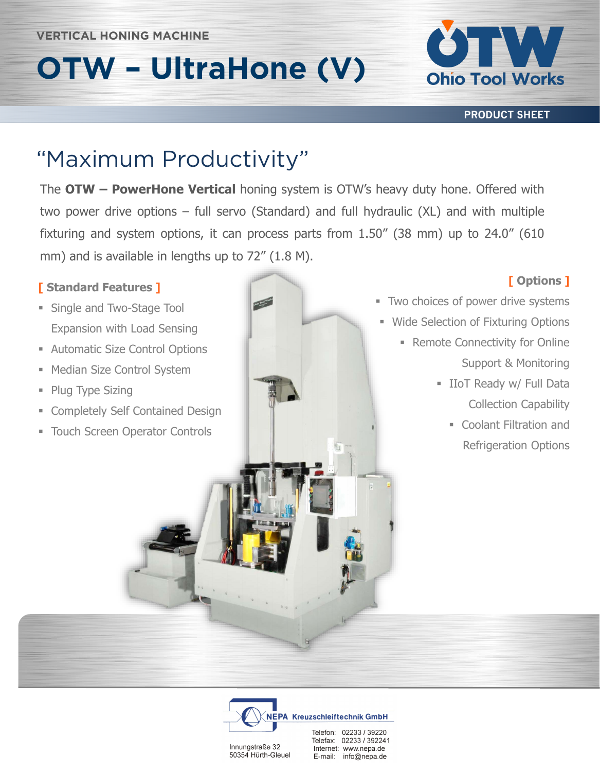# **OTW – UltraHone (V)**



**PRODUCT SHEET**

The **OTW – PowerHone Vertical** honing system is OTW's heavy duty hone. Offered with two power drive options – full servo (Standard) and full hydraulic (XL) and with multiple fixturing and system options, it can process parts from 1.50" (38 mm) up to 24.0" (610 mm) and is available in lengths up to 72" (1.8 M).

#### **[ Standard Features ]**

- **Example and Two-Stage Tool** Expansion with Load Sensing
- **EXECUTE: Automatic Size Control Options**
- Median Size Control System
- Plug Type Sizing
- **Exampletely Self Contained Design**
- Touch Screen Operator Controls



### **[ Options ]**

- Two choices of power drive systems
- **E** Wide Selection of Fixturing Options
	- **Remote Connectivity for Online** Support & Monitoring
		- **E** IIoT Ready w/ Full Data Collection Capability
			- Coolant Filtration and Refrigeration Options



Innungstraße 32 50354 Hürth-Gleuel Telefax: 02233 / 392241 Internet: www.nepa.de E-mail: info@nepa.de